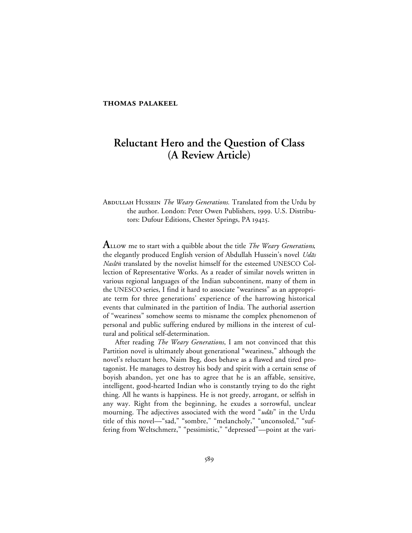## **THOMAS PALAKEEL**

# **Reluctant Hero and the Question of Class (A Review Article)**

# ABDULLAH HUSSEIN *The Weary Generations*. Translated from the Urdu by the author. London: Peter Owen Publishers, 1999. U.S. Distributors: Dufour Editions, Chester Springs, PA 19425.

**A** LLOW me to start with a quibble about the title *The Weary Generations*, the elegantly produced English version of Abdullah Hussein's novel Udās Naslēn translated by the novelist himself for the esteemed UNESCO Collection of Representative Works. As a reader of similar novels written in various regional languages of the Indian subcontinent, many of them in the UNESCO series, I find it hard to associate "weariness" as an appropriate term for three generations' experience of the harrowing historical events that culminated in the partition of India. The authorial assertion of "weariness" somehow seems to misname the complex phenomenon of personal and public suffering endured by millions in the interest of cultural and political self-determination.

After reading *The Weary Generations*, I am not convinced that this Partition novel is ultimately about generational "weariness," although the novel's reluctant hero, Naim Beg, does behave as a flawed and tired protagonist. He manages to destroy his body and spirit with a certain sense of boyish abandon, yet one has to agree that he is an affable, sensitive, intelligent, good-hearted Indian who is constantly trying to do the right thing. All he wants is happiness. He is not greedy, arrogant, or selfish in any way. Right from the beginning, he exudes a sorrowful, unclear mourning. The adjectives associated with the word "udas" in the Urdu title of this novel—"sad," "sombre," "melancholy," "unconsoled," "suffering from Weltschmerz," "pessimistic," "depressed"--point at the vari-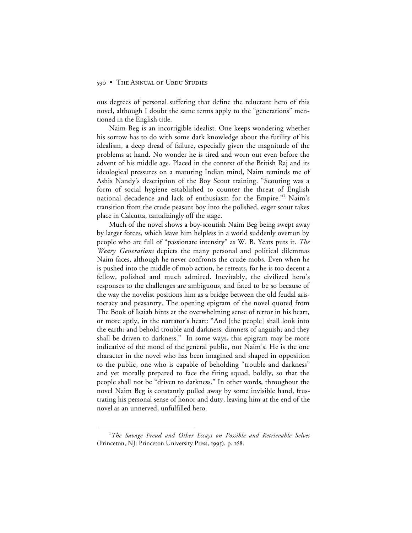ous degrees of personal suffering that define the reluctant hero of this novel, although I doubt the same terms apply to the "generations" mentioned in the English title.

Naim Beg is an incorrigible idealist. One keeps wondering whether his sorrow has to do with some dark knowledge about the futility of his idealism, a deep dread of failure, especially given the magnitude of the problems at hand. No wonder he is tired and worn out even before the advent of his middle age. Placed in the context of the British Raj and its ideological pressures on a maturing Indian mind, Naim reminds me of Ashis Nandy's description of the Boy Scout training. "Scouting was a form of social hygiene established to counter the threat of English national decadence and lack of enthusiasm for the Empire." Naim's transition from the crude peasant boy into the polished, eager scout takes place in Calcutta, tantalizingly off the stage.

Much of the novel shows a boy-scoutish Naim Beg being swept away by larger forces, which leave him helpless in a world suddenly overrun by people who are full of "passionate intensity" as W. B. Yeats puts it. *The Weary Generations* depicts the many personal and political dilemmas Naim faces, although he never confronts the crude mobs. Even when he is pushed into the middle of mob action, he retreats, for he is too decent a fellow, polished and much admired. Inevitably, the civilized hero's responses to the challenges are ambiguous, and fated to be so because of the way the novelist positions him as a bridge between the old feudal aristocracy and peasantry. The opening epigram of the novel quoted from The Book of Isaiah hints at the overwhelming sense of terror in his heart, or more aptly, in the narrator's heart: "And [the people] shall look into the earth; and behold trouble and darkness: dimness of anguish; and they shall be driven to darkness." In some ways, this epigram may be more indicative of the mood of the general public, not Naim's. He is the one character in the novel who has been imagined and shaped in opposition to the public, one who is capable of beholding "trouble and darkness" and yet morally prepared to face the firing squad, boldly, so that the people shall not be "driven to darkness." In other words, throughout the novel Naim Beg is constantly pulled away by some invisible hand, frustrating his personal sense of honor and duty, leaving him at the end of the novel as an unnerved, unfulfilled hero.

 $\overline{\phantom{a}}$ *The Savage Freud and Other Essays on Possible and Retrievable Selves* (Princeton, NJ: Princeton University Press, 1995), p. 168.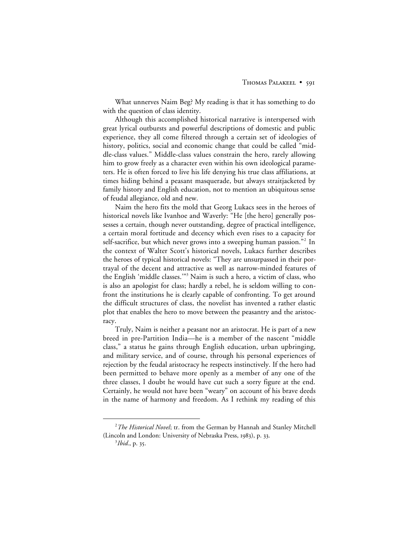What unnerves Naim Beg? My reading is that it has something to do with the question of class identity.

Although this accomplished historical narrative is interspersed with great lyrical outbursts and powerful descriptions of domestic and public experience, they all come filtered through a certain set of ideologies of history, politics, social and economic change that could be called "middle-class values." Middle-class values constrain the hero, rarely allowing him to grow freely as a character even within his own ideological parameters. He is often forced to live his life denying his true class affiliations, at times hiding behind a peasant masquerade, but always straitjacketed by family history and English education, not to mention an ubiquitous sense of feudal allegiance, old and new.

Naim the hero fits the mold that Georg Lukacs sees in the heroes of historical novels like Ivanhoe and Waverly: "He [the hero] generally possesses a certain, though never outstanding, degree of practical intelligence, a certain moral fortitude and decency which even rises to a capacity for self-sacrifice, but which never grows into a sweeping human passion."<sup>2</sup> In the context of Walter Scott's historical novels, Lukacs further describes the heroes of typical historical novels: "They are unsurpassed in their portrayal of the decent and attractive as well as narrow-minded features of the English 'middle classes."<sup>3</sup> Naim is such a hero, a victim of class, who is also an apologist for class; hardly a rebel, he is seldom willing to confront the institutions he is clearly capable of confronting. To get around the difficult structures of class, the novelist has invented a rather elastic plot that enables the hero to move between the peasantry and the aristocracy.

Truly, Naim is neither a peasant nor an aristocrat. He is part of a new breed in pre-Partition India—he is a member of the nascent "middle class," a status he gains through English education, urban upbringing, and military service, and of course, through his personal experiences of rejection by the feudal aristocracy he respects instinctively. If the hero had been permitted to behave more openly as a member of any one of the three classes, I doubt he would have cut such a sorry figure at the end. Certainly, he would not have been "weary" on account of his brave deeds in the name of harmony and freedom. As I rethink my reading of this

 $\overline{a}$ *The Historical Novel*; tr. from the German by Hannah and Stanley Mitchell (Lincoln and London: University of Nebraska Press, 1983), p. 33.

<sup>&</sup>lt;sup>3</sup>Ibid., p. 35.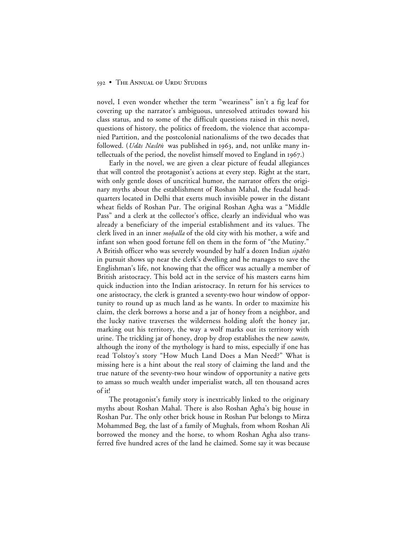novel, I even wonder whether the term "weariness" isn't a fig leaf for covering up the narrator's ambiguous, unresolved attitudes toward his class status, and to some of the difficult questions raised in this novel, questions of history, the politics of freedom, the violence that accompanied Partition, and the postcolonial nationalisms of the two decades that followed. (*Udās Naslēn* was published in 1963, and, not unlike many intellectuals of the period, the novelist himself moved to England in  $1967$ .)

Early in the novel, we are given a clear picture of feudal allegiances that will control the protagonist's actions at every step. Right at the start, with only gentle doses of uncritical humor, the narrator offers the originary myths about the establishment of Roshan Mahal, the feudal headquarters located in Delhi that exerts much invisible power in the distant wheat fields of Roshan Pur. The original Roshan Agha was a "Middle Pass" and a clerk at the collector's office, clearly an individual who was already a beneficiary of the imperial establishment and its values. The clerk lived in an inner *mohalla* of the old city with his mother, a wife and infant son when good fortune fell on them in the form of "the Mutiny." A British officer who was severely wounded by half a dozen Indian sipahis in pursuit shows up near the clerk's dwelling and he manages to save the Englishman's life, not knowing that the officer was actually a member of British aristocracy. This bold act in the service of his masters earns him quick induction into the Indian aristocracy. In return for his services to one aristocracy, the clerk is granted a seventy-two hour window of opportunity to round up as much land as he wants. In order to maximize his claim, the clerk borrows a horse and a jar of honey from a neighbor, and the lucky native traverses the wilderness holding aloft the honey jar, marking out his territory, the way a wolf marks out its territory with urine. The trickling jar of honey, drop by drop establishes the new *zamin*, although the irony of the mythology is hard to miss, especially if one has read Tolstoy's story "How Much Land Does a Man Need?" What is missing here is a hint about the real story of claiming the land and the true nature of the seventy-two hour window of opportunity a native gets to amass so much wealth under imperialist watch, all ten thousand acres of it!

The protagonist's family story is inextricably linked to the originary myths about Roshan Mahal. There is also Roshan Agha's big house in Roshan Pur. The only other brick house in Roshan Pur belongs to Mirza Mohammed Beg, the last of a family of Mughals, from whom Roshan Ali borrowed the money and the horse, to whom Roshan Agha also transferred five hundred acres of the land he claimed. Some say it was because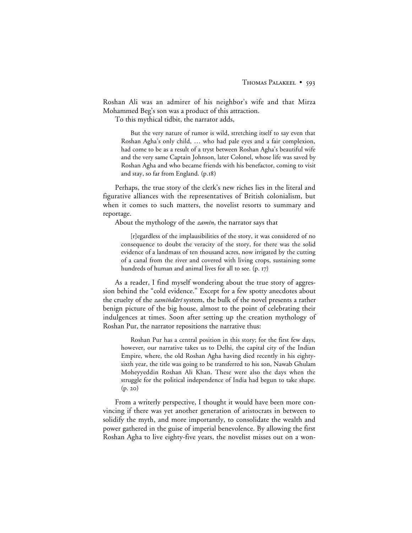Roshan Ali was an admirer of his neighbor's wife and that Mirza Mohammed Beg's son was a product of this attraction.

To this mythical tidbit, the narrator adds,

But the very nature of rumor is wild, stretching itself to say even that Roshan Agha's only child, … who had pale eyes and a fair complexion, had come to be as a result of a tryst between Roshan Agha's beautiful wife and the very same Captain Johnson, later Colonel, whose life was saved by Roshan Agha and who became friends with his benefactor, coming to visit and stay, so far from England. (p.18)

Perhaps, the true story of the clerk's new riches lies in the literal and figurative alliances with the representatives of British colonialism, but when it comes to such matters, the novelist resorts to summary and reportage.

About the mythology of the *zamīn*, the narrator says that

[r]egardless of the implausibilities of the story, it was considered of no consequence to doubt the veracity of the story, for there was the solid evidence of a landmass of ten thousand acres, now irrigated by the cutting of a canal from the river and covered with living crops, sustaining some hundreds of human and animal lives for all to see.  $(p. 17)$ 

As a reader, I find myself wondering about the true story of aggression behind the "cold evidence." Except for a few spotty anecdotes about the cruelty of the *zamīndārī* system, the bulk of the novel presents a rather benign picture of the big house, almost to the point of celebrating their indulgences at times. Soon after setting up the creation mythology of Roshan Pur, the narrator repositions the narrative thus:

Roshan Pur has a central position in this story; for the first few days, however, our narrative takes us to Delhi, the capital city of the Indian Empire, where, the old Roshan Agha having died recently in his eightysixth year, the title was going to be transferred to his son, Nawab Ghulam Moheyyeddin Roshan Ali Khan. These were also the days when the struggle for the political independence of India had begun to take shape.  $(p. 20)$ 

From a writerly perspective, I thought it would have been more convincing if there was yet another generation of aristocrats in between to solidify the myth, and more importantly, to consolidate the wealth and power gathered in the guise of imperial benevolence. By allowing the first Roshan Agha to live eighty-five years, the novelist misses out on a won-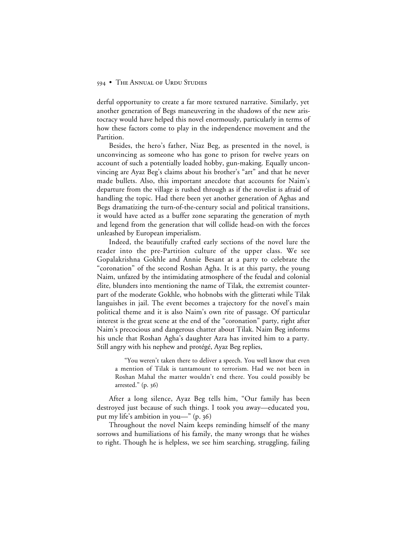derful opportunity to create a far more textured narrative. Similarly, yet another generation of Begs maneuvering in the shadows of the new aristocracy would have helped this novel enormously, particularly in terms of how these factors come to play in the independence movement and the Partition.

Besides, the hero's father, Niaz Beg, as presented in the novel, is unconvincing as someone who has gone to prison for twelve years on account of such a potentially loaded hobby, gun-making. Equally unconvincing are Ayaz Beg's claims about his brother's "art" and that he never made bullets. Also, this important anecdote that accounts for Naim's departure from the village is rushed through as if the novelist is afraid of handling the topic. Had there been yet another generation of Aghas and Begs dramatizing the turn-of-the-century social and political transitions, it would have acted as a buffer zone separating the generation of myth and legend from the generation that will collide head-on with the forces unleashed by European imperialism.

Indeed, the beautifully crafted early sections of the novel lure the reader into the pre-Partition culture of the upper class. We see Gopalakrishna Gokhle and Annie Besant at a party to celebrate the "coronation" of the second Roshan Agha. It is at this party, the young Naim, unfazed by the intimidating atmosphere of the feudal and colonial élite, blunders into mentioning the name of Tilak, the extremist counterpart of the moderate Gokhle, who hobnobs with the glitterati while Tilak languishes in jail. The event becomes a trajectory for the novel's main political theme and it is also Naim's own rite of passage. Of particular interest is the great scene at the end of the "coronation" party, right after Naim's precocious and dangerous chatter about Tilak. Naim Beg informs his uncle that Roshan Agha's daughter Azra has invited him to a party. Still angry with his nephew and protégé, Ayaz Beg replies,

"You weren't taken there to deliver a speech. You well know that even a mention of Tilak is tantamount to terrorism. Had we not been in Roshan Mahal the matter wouldn't end there. You could possibly be arrested."  $(p. 36)$ 

After a long silence, Ayaz Beg tells him, "Our family has been destroyed just because of such things. I took you away—educated you, put my life's ambition in you-" (p. 36)

Throughout the novel Naim keeps reminding himself of the many sorrows and humiliations of his family, the many wrongs that he wishes to right. Though he is helpless, we see him searching, struggling, failing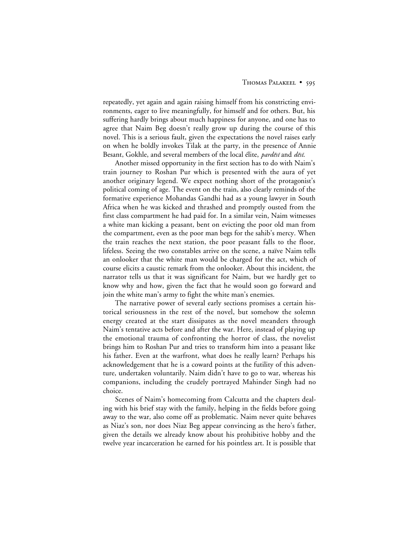#### THOMAS PALAKEEL • 595

repeatedly, yet again and again raising himself from his constricting environments, eager to live meaningfully, for himself and for others. But, his suffering hardly brings about much happiness for anyone, and one has to agree that Naim Beg doesn't really grow up during the course of this novel. This is a serious fault, given the expectations the novel raises early on when he boldly invokes Tilak at the party, in the presence of Annie Besant, Gokhle, and several members of the local élite, pardēsī and dēsī.

Another missed opportunity in the first section has to do with Naim's train journey to Roshan Pur which is presented with the aura of yet another originary legend. We expect nothing short of the protagonist's political coming of age. The event on the train, also clearly reminds of the formative experience Mohandas Gandhi had as a young lawyer in South Africa when he was kicked and thrashed and promptly ousted from the first class compartment he had paid for. In a similar vein, Naim witnesses a white man kicking a peasant, bent on evicting the poor old man from the compartment, even as the poor man begs for the sahib's mercy. When the train reaches the next station, the poor peasant falls to the floor, lifeless. Seeing the two constables arrive on the scene, a naïve Naim tells an onlooker that the white man would be charged for the act, which of course elicits a caustic remark from the onlooker. About this incident, the narrator tells us that it was significant for Naim, but we hardly get to know why and how, given the fact that he would soon go forward and join the white man's army to fight the white man's enemies.

The narrative power of several early sections promises a certain historical seriousness in the rest of the novel, but somehow the solemn energy created at the start dissipates as the novel meanders through Naim's tentative acts before and after the war. Here, instead of playing up the emotional trauma of confronting the horror of class, the novelist brings him to Roshan Pur and tries to transform him into a peasant like his father. Even at the warfront, what does he really learn? Perhaps his acknowledgement that he is a coward points at the futility of this adventure, undertaken voluntarily. Naim didn't have to go to war, whereas his companions, including the crudely portrayed Mahinder Singh had no choice.

Scenes of Naim's homecoming from Calcutta and the chapters dealing with his brief stay with the family, helping in the fields before going away to the war, also come off as problematic. Naim never quite behaves as Niaz's son, nor does Niaz Beg appear convincing as the hero's father, given the details we already know about his prohibitive hobby and the twelve year incarceration he earned for his pointless art. It is possible that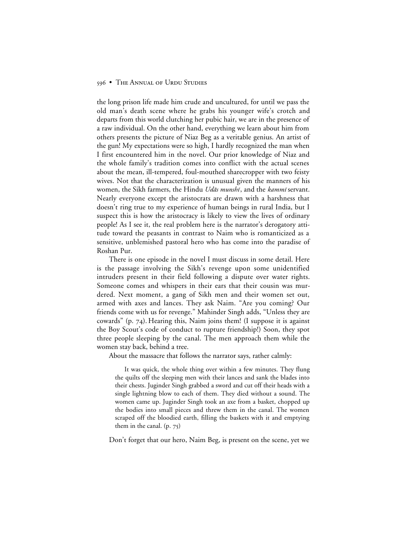the long prison life made him crude and uncultured, for until we pass the old man's death scene where he grabs his younger wife's crotch and departs from this world clutching her pubic hair, we are in the presence of a raw individual. On the other hand, everything we learn about him from others presents the picture of Niaz Beg as a veritable genius. An artist of the gun! My expectations were so high, I hardly recognized the man when I first encountered him in the novel. Our prior knowledge of Niaz and the whole family's tradition comes into conflict with the actual scenes about the mean, ill-tempered, foul-mouthed sharecropper with two feisty wives. Not that the characterization is unusual given the manners of his women, the Sikh farmers, the Hindu Udās munshī, and the kammī servant. Nearly everyone except the aristocrats are drawn with a harshness that doesn't ring true to my experience of human beings in rural India, but I suspect this is how the aristocracy is likely to view the lives of ordinary people! As I see it, the real problem here is the narrator's derogatory attitude toward the peasants in contrast to Naim who is romanticized as a sensitive, unblemished pastoral hero who has come into the paradise of Roshan Pur.

There is one episode in the novel I must discuss in some detail. Here is the passage involving the Sikh's revenge upon some unidentified intruders present in their field following a dispute over water rights. Someone comes and whispers in their ears that their cousin was murdered. Next moment, a gang of Sikh men and their women set out, armed with axes and lances. They ask Naim. "Are you coming? Our friends come with us for revenge." Mahinder Singh adds, "Unless they are cowards" (p. 74). Hearing this, Naim joins them! (I suppose it is against the Boy Scout's code of conduct to rupture friendship!) Soon, they spot three people sleeping by the canal. The men approach them while the women stay back, behind a tree.

About the massacre that follows the narrator says, rather calmly:

It was quick, the whole thing over within a few minutes. They flung the quilts off the sleeping men with their lances and sank the blades into their chests. Juginder Singh grabbed a sword and cut off their heads with a single lightning blow to each of them. They died without a sound. The women came up. Juginder Singh took an axe from a basket, chopped up the bodies into small pieces and threw them in the canal. The women scraped off the bloodied earth, filling the baskets with it and emptying them in the canal.  $(p. 75)$ 

Don't forget that our hero, Naim Beg, is present on the scene, yet we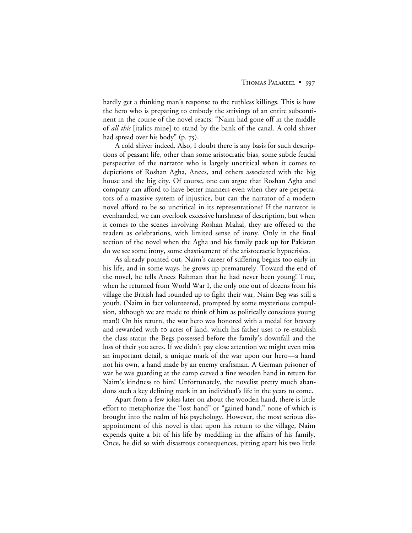hardly get a thinking man's response to the ruthless killings. This is how the hero who is preparing to embody the strivings of an entire subcontinent in the course of the novel reacts: "Naim had gone off in the middle of *all this* [italics mine] to stand by the bank of the canal. A cold shiver had spread over his body"  $(p. 75)$ .

A cold shiver indeed. Also, I doubt there is any basis for such descriptions of peasant life, other than some aristocratic bias, some subtle feudal perspective of the narrator who is largely uncritical when it comes to depictions of Roshan Agha, Anees, and others associated with the big house and the big city. Of course, one can argue that Roshan Agha and company can afford to have better manners even when they are perpetrators of a massive system of injustice, but can the narrator of a modern novel afford to be so uncritical in its representations? If the narrator is evenhanded, we can overlook excessive harshness of description, but when it comes to the scenes involving Roshan Mahal, they are offered to the readers as celebrations, with limited sense of irony. Only in the final section of the novel when the Agha and his family pack up for Pakistan do we see some irony, some chastisement of the aristocractic hypocrisies.

As already pointed out, Naim's career of suffering begins too early in his life, and in some ways, he grows up prematurely. Toward the end of the novel, he tells Anees Rahman that he had never been young! True, when he returned from World War I, the only one out of dozens from his village the British had rounded up to fight their war, Naim Beg was still a youth. (Naim in fact volunteered, prompted by some mysterious compulsion, although we are made to think of him as politically conscious young man!) On his return, the war hero was honored with a medal for bravery and rewarded with 10 acres of land, which his father uses to re-establish the class status the Begs possessed before the family's downfall and the loss of their 500 acres. If we didn't pay close attention we might even miss an important detail, a unique mark of the war upon our hero—a hand not his own, a hand made by an enemy craftsman. A German prisoner of war he was guarding at the camp carved a fine wooden hand in return for Naim's kindness to him! Unfortunately, the novelist pretty much abandons such a key defining mark in an individual's life in the years to come.

Apart from a few jokes later on about the wooden hand, there is little effort to metaphorize the "lost hand" or "gained hand," none of which is brought into the realm of his psychology. However, the most serious disappointment of this novel is that upon his return to the village, Naim expends quite a bit of his life by meddling in the affairs of his family. Once, he did so with disastrous consequences, pitting apart his two little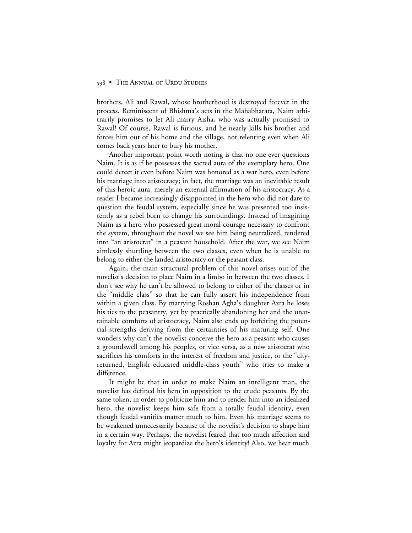brothers, Ali and Rawal, whose brotherhood is destroyed forever in the process. Reminiscent of Bhishma's acts in the Mahabharata, Naim arbitrarily promises to let Ali marry Aisha, who was actually promised to Rawal! Of course, Rawal is furious, and he nearly kills his brother and forces him out of his home and the village, not relenting even when Ali comes back years later to bury his mother.

Another important point worth noting is that no one ever questions Naim. It is as if he possesses the sacred aura of the exemplary hero. One could detect it even before Naim was honored as a war hero, even before his marriage into aristocracy; in fact, the marriage was an inevitable result of this heroic aura, merely an external affirmation of his aristocracy. As a reader I became increasingly disappointed in the hero who did not dare to question the feudal system, especially since he was presented too insistently as a rebel born to change his surroundings. Instead of imagining Naim as a hero who possessed great moral courage necessary to confront the system, throughout the novel we see him being neutralized, rendered into "an aristocrat" in a peasant household. After the war, we see Naim aimlessly shuttling between the two classes, even when he is unable to belong to either the landed aristocracy or the peasant class.

Again, the main structural problem of this novel arises out of the novelist's decision to place Naim in a limbo in between the two classes. I don't see why he can't be allowed to belong to either of the classes or in the "middle class" so that he can fully assert his independence from within a given class. By marrying Roshan Agha's daughter Azra he loses his ties to the peasantry, yet by practically abandoning her and the unattainable comforts of aristocracy, Naim also ends up forfeiting the potential strengths deriving from the certainties of his maturing self. One wonders why can't the novelist conceive the hero as a peasant who causes a groundswell among his peoples, or vice versa, as a new aristocrat who sacrifices his comforts in the interest of freedom and justice, or the "cityreturned, English educated middle-class youth" who tries to make a difference.

It might be that in order to make Naim an intelligent man, the novelist has defined his hero in opposition to the crude peasants. By the same token, in order to politicize him and to render him into an idealized hero, the novelist keeps him safe from a totally feudal identity, even though feudal vanities matter much to him. Even his marriage seems to be weakened unnecessarily because of the novelist's decision to shape him in a certain way. Perhaps, the novelist feared that too much affection and loyalty for Azra might jeopardize the hero's identity! Also, we hear much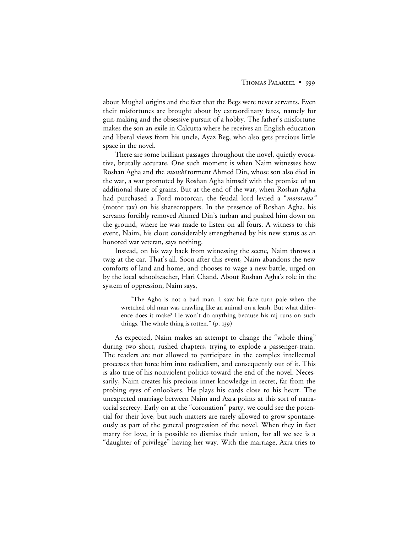about Mughal origins and the fact that the Begs were never servants. Even their misfortunes are brought about by extraordinary fates, namely for gun-making and the obsessive pursuit of a hobby. The father's misfortune makes the son an exile in Calcutta where he receives an English education and liberal views from his uncle, Ayaz Beg, who also gets precious little space in the novel.

There are some brilliant passages throughout the novel, quietly evocative, brutally accurate. One such moment is when Naim witnesses how Roshan Agha and the *munshi* torment Ahmed Din, whose son also died in the war, a war promoted by Roshan Agha himself with the promise of an additional share of grains. But at the end of the war, when Roshan Agha had purchased a Ford motorcar, the feudal lord levied a "*motorana"* (motor tax) on his sharecroppers. In the presence of Roshan Agha, his servants forcibly removed Ahmed Din's turban and pushed him down on the ground, where he was made to listen on all fours. A witness to this event, Naim, his clout considerably strengthened by his new status as an honored war veteran, says nothing.

Instead, on his way back from witnessing the scene, Naim throws a twig at the car. That's all. Soon after this event, Naim abandons the new comforts of land and home, and chooses to wage a new battle, urged on by the local schoolteacher, Hari Chand. About Roshan Agha's role in the system of oppression, Naim says,

"The Agha is not a bad man. I saw his face turn pale when the wretched old man was crawling like an animal on a leash. But what difference does it make? He won't do anything because his raj runs on such things. The whole thing is rotten." (p. 139)

As expected, Naim makes an attempt to change the "whole thing" during two short, rushed chapters, trying to explode a passenger-train. The readers are not allowed to participate in the complex intellectual processes that force him into radicalism, and consequently out of it. This is also true of his nonviolent politics toward the end of the novel. Necessarily, Naim creates his precious inner knowledge in secret, far from the probing eyes of onlookers. He plays his cards close to his heart. The unexpected marriage between Naim and Azra points at this sort of narratorial secrecy. Early on at the "coronation" party, we could see the potential for their love, but such matters are rarely allowed to grow spontaneously as part of the general progression of the novel. When they in fact marry for love, it is possible to dismiss their union, for all we see is a "daughter of privilege" having her way. With the marriage, Azra tries to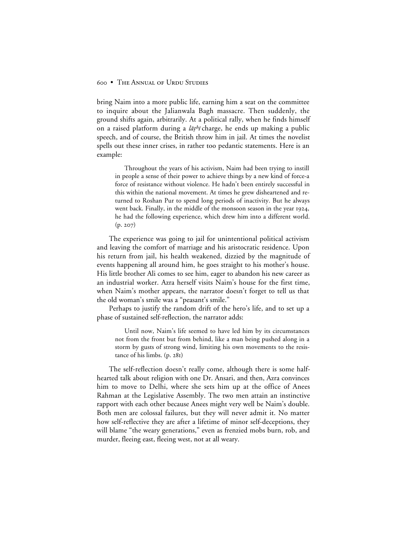bring Naim into a more public life, earning him a seat on the committee to inquire about the Jalianwala Bagh massacre. Then suddenly, the ground shifts again, arbitrarily. At a political rally, when he finds himself on a raised platform during a  $\bar{a}t^h\bar{b}$  charge, he ends up making a public speech, and of course, the British throw him in jail. At times the novelist spells out these inner crises, in rather too pedantic statements. Here is an example:

Throughout the years of his activism, Naim had been trying to instill in people a sense of their power to achieve things by a new kind of force-a force of resistance without violence. He hadn't been entirely successful in this within the national movement. At times he grew disheartened and returned to Roshan Pur to spend long periods of inactivity. But he always went back. Finally, in the middle of the monsoon season in the year 1924, he had the following experience, which drew him into a different world.  $(p. 207)$ 

The experience was going to jail for unintentional political activism and leaving the comfort of marriage and his aristocratic residence. Upon his return from jail, his health weakened, dizzied by the magnitude of events happening all around him, he goes straight to his mother's house. His little brother Ali comes to see him, eager to abandon his new career as an industrial worker. Azra herself visits Naim's house for the first time, when Naim's mother appears, the narrator doesn't forget to tell us that the old woman's smile was a "peasant's smile."

Perhaps to justify the random drift of the hero's life, and to set up a phase of sustained self-reflection, the narrator adds:

Until now, Naim's life seemed to have led him by its circumstances not from the front but from behind, like a man being pushed along in a storm by gusts of strong wind, limiting his own movements to the resistance of his limbs. (p. 281)

The self-reflection doesn't really come, although there is some halfhearted talk about religion with one Dr. Ansari, and then, Azra convinces him to move to Delhi, where she sets him up at the office of Anees Rahman at the Legislative Assembly. The two men attain an instinctive rapport with each other because Anees might very well be Naim's double. Both men are colossal failures, but they will never admit it. No matter how self-reflective they are after a lifetime of minor self-deceptions, they will blame "the weary generations," even as frenzied mobs burn, rob, and murder, fleeing east, fleeing west, not at all weary.